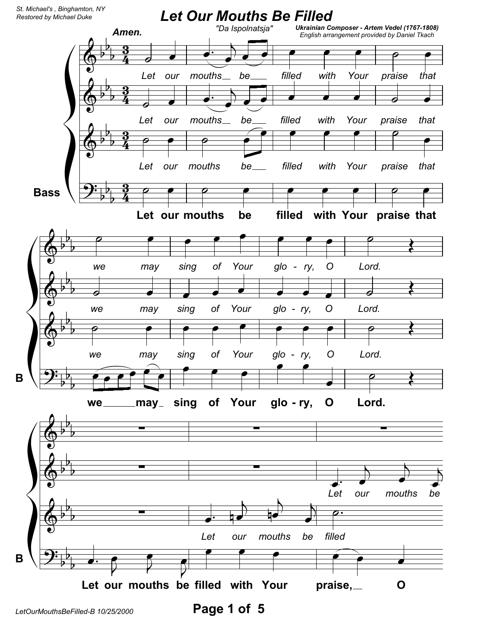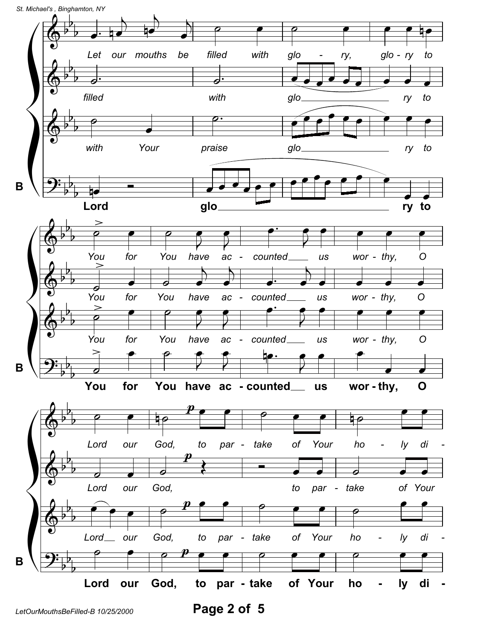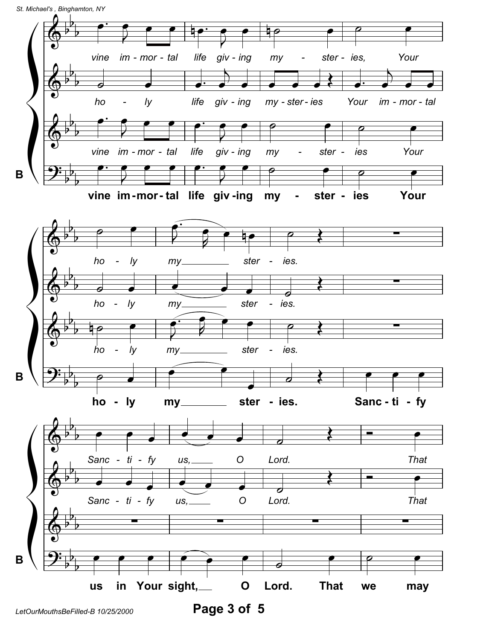

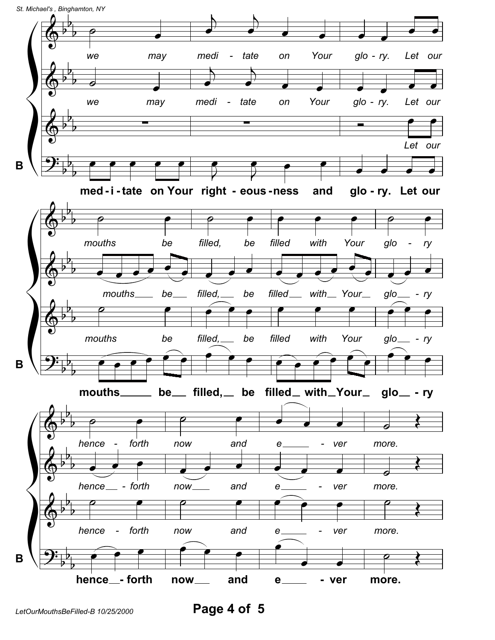